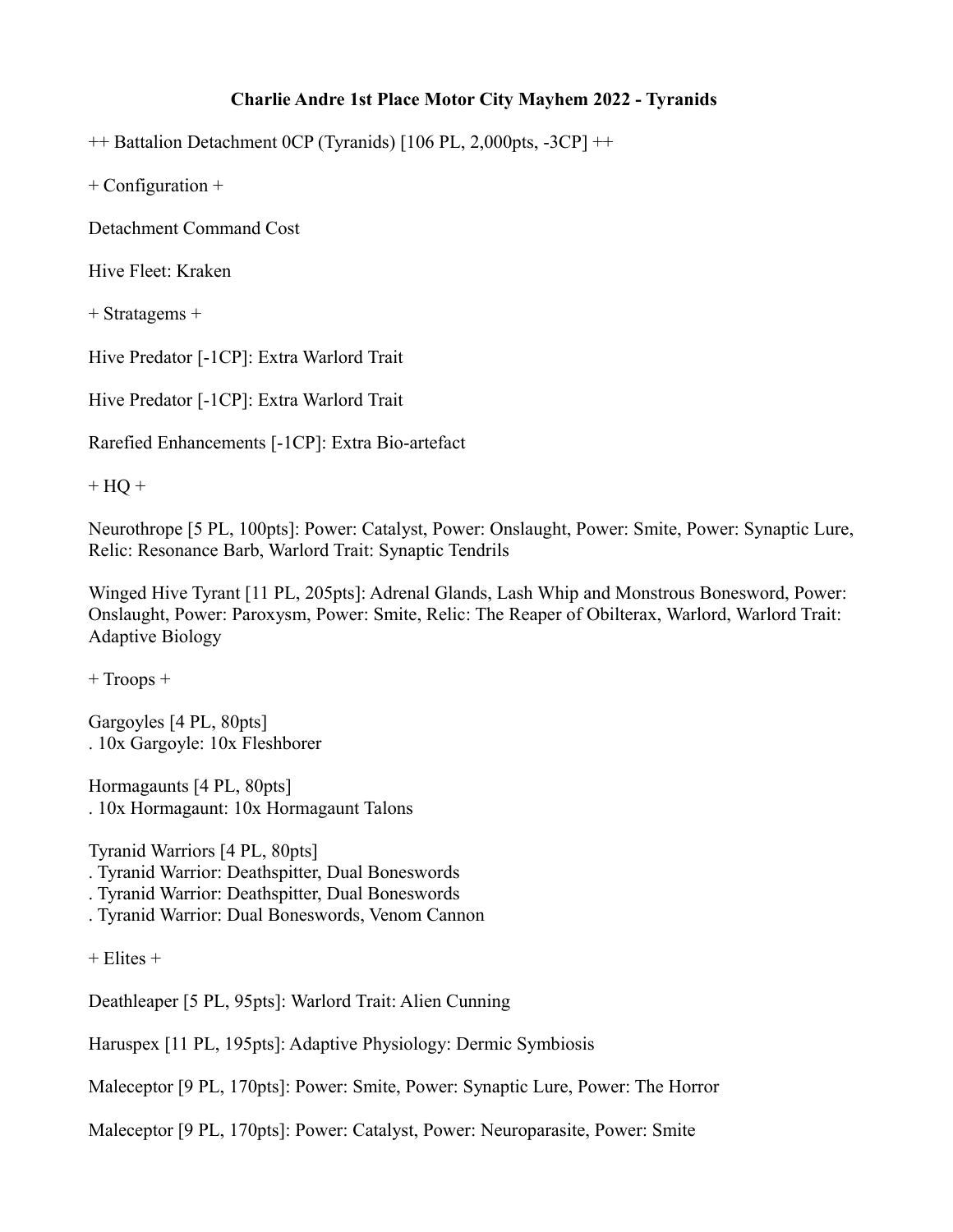## **Charlie Andre 1st Place Motor City Mayhem 2022 - Tyranids**

++ Battalion Detachment 0CP (Tyranids) [106 PL, 2,000pts, -3CP] ++

+ Configuration +

Detachment Command Cost

Hive Fleet: Kraken

+ Stratagems +

Hive Predator [-1CP]: Extra Warlord Trait

Hive Predator [-1CP]: Extra Warlord Trait

Rarefied Enhancements [-1CP]: Extra Bio-artefact

 $+$  HQ  $+$ 

Neurothrope [5 PL, 100pts]: Power: Catalyst, Power: Onslaught, Power: Smite, Power: Synaptic Lure, Relic: Resonance Barb, Warlord Trait: Synaptic Tendrils

Winged Hive Tyrant [11 PL, 205pts]: Adrenal Glands, Lash Whip and Monstrous Bonesword, Power: Onslaught, Power: Paroxysm, Power: Smite, Relic: The Reaper of Obilterax, Warlord, Warlord Trait: Adaptive Biology

+ Troops +

Gargoyles [4 PL, 80pts] . 10x Gargoyle: 10x Fleshborer

Hormagaunts [4 PL, 80pts] . 10x Hormagaunt: 10x Hormagaunt Talons

Tyranid Warriors [4 PL, 80pts]

. Tyranid Warrior: Deathspitter, Dual Boneswords

. Tyranid Warrior: Deathspitter, Dual Boneswords

. Tyranid Warrior: Dual Boneswords, Venom Cannon

+ Elites +

Deathleaper [5 PL, 95pts]: Warlord Trait: Alien Cunning

Haruspex [11 PL, 195pts]: Adaptive Physiology: Dermic Symbiosis

Maleceptor [9 PL, 170pts]: Power: Smite, Power: Synaptic Lure, Power: The Horror

Maleceptor [9 PL, 170pts]: Power: Catalyst, Power: Neuroparasite, Power: Smite